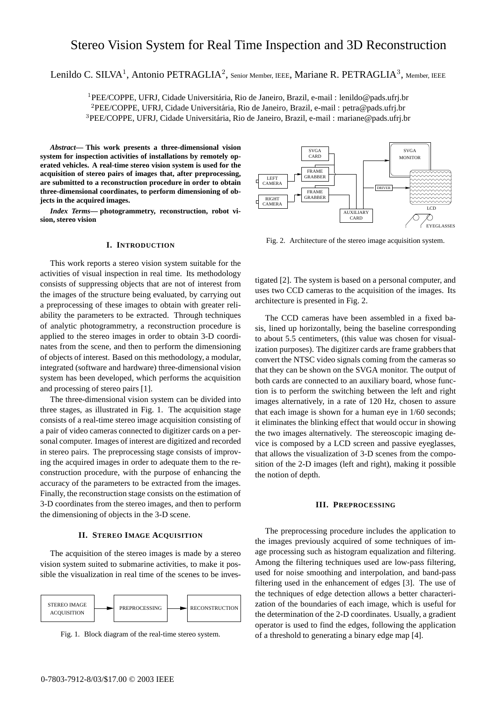# Stereo Vision System for Real Time Inspection and 3D Reconstruction

Lenildo C. SILVA<sup>1</sup>, Antonio PETRAGLIA<sup>2</sup>, Senior Member, IEEE, Mariane R. PETRAGLIA<sup>3</sup>, Member, IEEE

<sup>1</sup>PEE/COPPE, UFRJ, Cidade Universitária, Rio de Janeiro, Brazil, e-mail : lenildo@pads.ufrj.br  ${}^{2}$ PEE/COPPE, UFRJ, Cidade Universitária, Rio de Janeiro, Brazil, e-mail : petra@pads.ufrj.br <sup>3</sup>PEE/COPPE, UFRJ, Cidade Universitária, Rio de Janeiro, Brazil, e-mail : mariane@pads.ufrj.br

*Abstract***— This work presents a three-dimensional vision system for inspection activities of installations by remotely operated vehicles. A real-time stereo vision system is used for the acquisition of stereo pairs of images that, after preprocessing, are submitted to a reconstruction procedure in order to obtain three-dimensional coordinates, to perform dimensioning of objects in the acquired images.**

*Index Terms***— photogrammetry, reconstruction, robot vision, stereo vision**

### **I. INTRODUCTION**

This work reports a stereo vision system suitable for the activities of visual inspection in real time. Its methodology consists of suppressing objects that are not of interest from the images of the structure being evaluated, by carrying out a preprocessing of these images to obtain with greater reliability the parameters to be extracted. Through techniques of analytic photogrammetry, a reconstruction procedure is applied to the stereo images in order to obtain 3-D coordinates from the scene, and then to perform the dimensioning of objects of interest. Based on this methodology, a modular, integrated (software and hardware) three-dimensional vision system has been developed, which performs the acquisition and processing of stereo pairs [1].

The three-dimensional vision system can be divided into three stages, as illustrated in Fig. 1. The acquisition stage consists of a real-time stereo image acquisition consisting of a pair of video cameras connected to digitizer cards on a personal computer. Images of interest are digitized and recorded in stereo pairs. The preprocessing stage consists of improving the acquired images in order to adequate them to the reconstruction procedure, with the purpose of enhancing the accuracy of the parameters to be extracted from the images. Finally, the reconstruction stage consists on the estimation of 3-D coordinates from the stereo images, and then to perform the dimensioning of objects in the 3-D scene.

# **II. STEREO IMAGE ACQUISITION**

The acquisition of the stereo images is made by a stereo vision system suited to submarine activities, to make it possible the visualization in real time of the scenes to be inves-



Fig. 1. Block diagram of the real-time stereo system.



Fig. 2. Architecture of the stereo image acquisition system.

tigated [2]. The system is based on a personal computer, and uses two CCD cameras to the acquisition of the images. Its architecture is presented in Fig. 2.

The CCD cameras have been assembled in a fixed basis, lined up horizontally, being the baseline corresponding to about 5.5 centimeters, (this value was chosen for visualization purposes). The digitizer cards are frame grabbers that convert the NTSC video signals coming from the cameras so that they can be shown on the SVGA monitor. The output of both cards are connected to an auxiliary board, whose function is to perform the switching between the left and right images alternatively, in a rate of 120 Hz, chosen to assure that each image is shown for a human eye in 1/60 seconds; it eliminates the blinking effect that would occur in showing the two images alternatively. The stereoscopic imaging device is composed by a LCD screen and passive eyeglasses, that allows the visualization of 3-D scenes from the composition of the 2-D images (left and right), making it possible the notion of depth.

#### **III. PREPROCESSING**

The preprocessing procedure includes the application to the images previously acquired of some techniques of image processing such as histogram equalization and filtering. Among the filtering techniques used are low-pass filtering, used for noise smoothing and interpolation, and band-pass filtering used in the enhancement of edges [3]. The use of the techniques of edge detection allows a better characterization of the boundaries of each image, which is useful for the determination of the 2-D coordinates. Usually, a gradient operator is used to find the edges, following the application of a threshold to generating a binary edge map [4].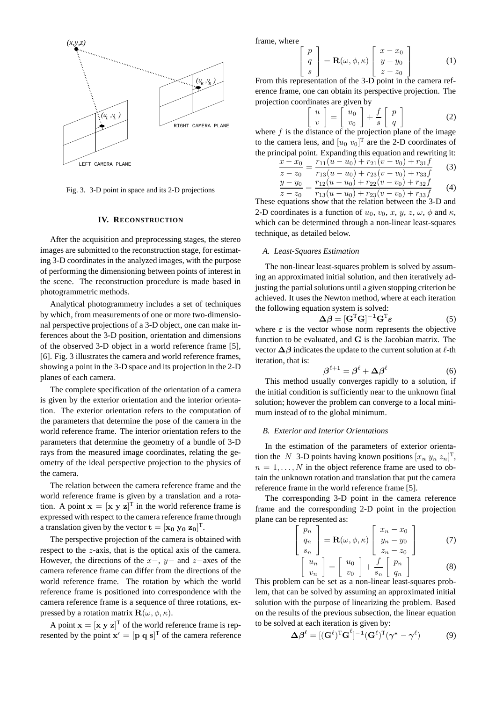

Fig. 3. 3-D point in space and its 2-D projections

### **IV. RECONSTRUCTION**

After the acquisition and preprocessing stages, the stereo images are submitted to the reconstruction stage, for estimating 3-D coordinates in the analyzed images, with the purpose of performing the dimensioning between points of interest in the scene. The reconstruction procedure is made based in photogrammetric methods.

Analytical photogrammetry includes a set of techniques by which, from measurements of one or more two-dimensional perspective projections of a 3-D object, one can make inferences about the 3-D position, orientation and dimensions of the observed 3-D object in a world reference frame [5], [6]. Fig. 3 illustrates the camera and world reference frames, showing a point in the 3-D space and its projection in the 2-D planes of each camera.

The complete specification of the orientation of a camera is given by the exterior orientation and the interior orientation. The exterior orientation refers to the computation of the parameters that determine the pose of the camera in the world reference frame. The interior orientation refers to the parameters that determine the geometry of a bundle of 3-D rays from the measured image coordinates, relating the geometry of the ideal perspective projection to the physics of the camera.

The relation between the camera reference frame and the world reference frame is given by a translation and a rotation. A point  $\mathbf{x} = [\mathbf{x} \ \mathbf{y} \ \mathbf{z}]^T$  in the world reference frame is expressed with respect to the camera reference frame through a translation given by the vector  $\mathbf{t} = [\mathbf{x_0} \ \mathbf{y_0} \ \mathbf{z_0}]^{\mathrm{T}}$ .

The perspective projection of the camera is obtained with respect to the z-axis, that is the optical axis of the camera. However, the directions of the  $x-$ ,  $y-$  and  $z-$ axes of the camera reference frame can differ from the directions of the world reference frame. The rotation by which the world reference frame is positioned into correspondence with the camera reference frame is a sequence of three rotations, expressed by a rotation matrix  $\mathbf{R}(\omega, \phi, \kappa)$ .

A point  $\mathbf{x} = [\mathbf{x} \ \mathbf{y} \ \mathbf{z}]^T$  of the world reference frame is represented by the point  $\mathbf{x}' = [\mathbf{p} \ \mathbf{q} \ \mathbf{s}]^T$  of the camera reference frame, where

 $\sqrt{ }$  $\overline{1}$ 

$$
\begin{bmatrix} p \\ q \\ s \end{bmatrix} = \mathbf{R}(\omega, \phi, \kappa) \begin{bmatrix} x - x_0 \\ y - y_0 \\ z - z_0 \end{bmatrix}
$$
 (1)

From this representation of the 3-D point in the camera reference frame, one can obtain its perspective projection. The projection coordinates are given by

$$
\begin{bmatrix} u \\ v \end{bmatrix} = \begin{bmatrix} u_0 \\ v_0 \end{bmatrix} + \frac{f}{s} \begin{bmatrix} p \\ q \end{bmatrix}
$$
 (2)

where  $f$  is the distance of the projection plane of the image to the camera lens, and  $[u_0, v_0]^T$  are the 2-D coordinates of the principal point. Expanding this equation and rewriting it:

$$
\frac{x - x_0}{z - z_0} = \frac{r_{11}(u - u_0) + r_{21}(v - v_0) + r_{31}f}{r_{13}(u - u_0) + r_{23}(v - v_0) + r_{33}f}
$$
(3)

$$
\frac{y - y_0}{z - z_0} = \frac{r_{12}(u - u_0) + r_{22}(v - v_0) + r_{32}f}{r_{13}(u - u_0) + r_{23}(v - v_0) + r_{33}f}
$$
(4)

These equations show that the relation between the 3-D and 2-D coordinates is a function of  $u_0$ ,  $v_0$ ,  $x$ ,  $y$ ,  $z$ ,  $\omega$ ,  $\phi$  and  $\kappa$ , which can be determined through a non-linear least-squares technique, as detailed below.

#### *A. Least-Squares Estimation*

The non-linear least-squares problem is solved by assuming an approximated initial solution, and then iteratively adjusting the partial solutions until a given stopping criterion be achieved. It uses the Newton method, where at each iteration the following equation system is solved:

$$
\Delta \beta = [\mathbf{G}^{\mathrm{T}} \mathbf{G}]^{-1} \mathbf{G}^{\mathrm{T}} \varepsilon \tag{5}
$$

where  $\varepsilon$  is the vector whose norm represents the objective function to be evaluated, and G is the Jacobian matrix. The vector  $\Delta\beta$  indicates the update to the current solution at  $\ell$ -th iteration, that is:

$$
\boldsymbol{\beta}^{\ell+1} = \boldsymbol{\beta}^{\ell} + \boldsymbol{\Delta}\boldsymbol{\beta}^{\ell} \tag{6}
$$

This method usually converges rapidly to a solution, if the initial condition is sufficiently near to the unknown final solution; however the problem can converge to a local minimum instead of to the global minimum.

#### *B. Exterior and Interior Orientations*

In the estimation of the parameters of exterior orientation the N 3-D points having known positions  $[x_n y_n z_n]^T$ ,  $n = 1, \ldots, N$  in the object reference frame are used to obtain the unknown rotation and translation that put the camera reference frame in the world reference frame [5].

The corresponding 3-D point in the camera reference frame and the corresponding 2-D point in the projection plane can be represented as:

$$
\begin{bmatrix} p_n \\ q_n \\ s_n \end{bmatrix} = \mathbf{R}(\omega, \phi, \kappa) \begin{bmatrix} x_n - x_0 \\ y_n - y_0 \\ z_n - z_0 \end{bmatrix}
$$
 (7)

$$
\left[\begin{array}{c} u_n \\ v_n \end{array}\right] = \left[\begin{array}{c} u_0 \\ v_0 \end{array}\right] + \frac{f}{s_n} \left[\begin{array}{c} p_n \\ q_n \end{array}\right] \tag{8}
$$

This problem can be set as a non-linear least-squares problem, that can be solved by assuming an approximated initial solution with the purpose of linearizing the problem. Based on the results of the previous subsection, the linear equation to be solved at each iteration is given by:

$$
\Delta \beta^{\ell} = [(\mathbf{G}^{\ell})^{\mathrm{T}} \mathbf{G}^{\ell}]^{-1} (\mathbf{G}^{\ell})^{\mathrm{T}} (\boldsymbol{\gamma}^* - \boldsymbol{\gamma}^{\ell}) \tag{9}
$$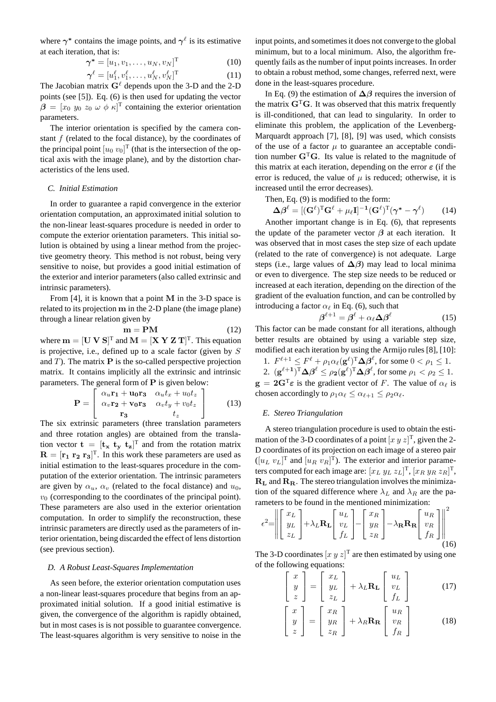where  $\gamma^*$  contains the image points, and  $\gamma^{\ell}$  is its estimative at each iteration, that is:

$$
\boldsymbol{\gamma}^* = [u_1, v_1, \dots, u_N, v_N]^\mathrm{T} \tag{10}
$$

$$
\boldsymbol{\gamma}^{\ell} = [u_1^{\ell}, v_1^{\ell}, \dots, u_N^{\ell}, v_N^{\ell}]^{\mathrm{T}}
$$
 (11)

The Jacobian matrix  $G^{\ell}$  depends upon the 3-D and the 2-D points (see [5]). Eq. (6) is then used for updating the vector  $\beta = [x_0, y_0, z_0, \omega, \phi, \kappa]^T$  containing the exterior orientation parameters.

The interior orientation is specified by the camera constant  $f$  (related to the focal distance), by the coordinates of the principal point  $[u_0, v_0]^T$  (that is the intersection of the optical axis with the image plane), and by the distortion characteristics of the lens used.

### *C. Initial Estimation*

In order to guarantee a rapid convergence in the exterior orientation computation, an approximated initial solution to the non-linear least-squares procedure is needed in order to compute the exterior orientation parameters. This initial solution is obtained by using a linear method from the projective geometry theory. This method is not robust, being very sensitive to noise, but provides a good initial estimation of the exterior and interior parameters (also called extrinsic and intrinsic parameters).

From  $[4]$ , it is known that a point M in the 3-D space is related to its projection m in the 2-D plane (the image plane) through a linear relation given by

$$
\mathbf{m} = \mathbf{P}\mathbf{M} \tag{12}
$$

where  $\mathbf{m} = [\mathbf{U} \, \mathbf{V} \, \mathbf{S}]^T$  and  $\mathbf{M} = [\mathbf{X} \, \mathbf{Y} \, \mathbf{Z} \, \mathbf{T}]^T$ . This equation is projective, i.e., defined up to a scale factor (given by S and  $T$ ). The matrix  $P$  is the so-called perspective projection matrix. It contains implicitly all the extrinsic and intrinsic parameters. The general form of  $P$  is given below:

$$
\mathbf{P} = \begin{bmatrix} \alpha_u \mathbf{r_1} + \mathbf{u_0} \mathbf{r_3} & \alpha_u t_x + u_0 t_z \\ \alpha_v \mathbf{r_2} + \mathbf{v_0} \mathbf{r_3} & \alpha_v t_y + v_0 t_z \\ \mathbf{r_3} & t_z \end{bmatrix}
$$
 (13)

The six extrinsic parameters (three translation parameters and three rotation angles) are obtained from the translation vector  $\mathbf{t} = [\mathbf{t}_{\mathbf{x}} \ \mathbf{t}_{\mathbf{y}} \ \mathbf{t}_{\mathbf{z}}]^T$  and from the rotation matrix  $\mathbf{R} = [\mathbf{r_1} \; \mathbf{r_2} \; \mathbf{r_3}]^T$ . In this work these parameters are used as initial estimation to the least-squares procedure in the computation of the exterior orientation. The intrinsic parameters are given by  $\alpha_u$ ,  $\alpha_v$  (related to the focal distance) and  $u_0$ ,  $v_0$  (corresponding to the coordinates of the principal point). These parameters are also used in the exterior orientation computation. In order to simplify the reconstruction, these intrinsic parameters are directly used as the parameters of interior orientation, being discarded the effect of lens distortion (see previous section).

#### *D. A Robust Least-Squares Implementation*

As seen before, the exterior orientation computation uses a non-linear least-squares procedure that begins from an approximated initial solution. If a good initial estimative is given, the convergence of the algorithm is rapidly obtained, but in most cases is is not possible to guarantee convergence. The least-squares algorithm is very sensitive to noise in the input points, and sometimes it does not converge to the global minimum, but to a local minimum. Also, the algorithm frequently fails as the number of input points increases. In order to obtain a robust method, some changes, referred next, were done in the least-squares procedure.

In Eq. (9) the estimation of  $\Delta\beta$  requires the inversion of the matrix  $G<sup>T</sup>G$ . It was observed that this matrix frequently is ill-conditioned, that can lead to singularity. In order to eliminate this problem, the application of the Levenberg-Marquardt approach [7], [8], [9] was used, which consists of the use of a factor  $\mu$  to guarantee an acceptable condition number  $G<sup>T</sup>G$ . Its value is related to the magnitude of this matrix at each iteration, depending on the error  $\varepsilon$  (if the error is reduced, the value of  $\mu$  is reduced; otherwise, it is increased until the error decreases).

Then, Eq. (9) is modified to the form:

$$
\Delta \beta^{\ell} = [(\mathbf{G}^{\ell})^{\mathrm{T}} \mathbf{G}^{\ell} + \mu_{\ell} \mathbf{I}]^{-1} (\mathbf{G}^{\ell})^{\mathrm{T}} (\boldsymbol{\gamma}^* - \boldsymbol{\gamma}^{\ell}) \qquad (14)
$$

Another important change is in Eq. (6), that represents the update of the parameter vector  $\beta$  at each iteration. It was observed that in most cases the step size of each update (related to the rate of convergence) is not adequate. Large steps (i.e., large values of  $\Delta\beta$ ) may lead to local minima or even to divergence. The step size needs to be reduced or increased at each iteration, depending on the direction of the gradient of the evaluation function, and can be controlled by introducing a factor  $\alpha_{\ell}$  in Eq. (6), such that

$$
\beta^{\ell+1} = \beta^{\ell} + \alpha_{\ell} \Delta \beta^{\ell} \tag{15}
$$

This factor can be made constant for all iterations, although better results are obtained by using a variable step size, modified at each iteration by using the Armijo rules [8], [10]:

1.  $F^{\ell+1} \leq F^{\ell} + \rho_1 \alpha_{\ell} (\mathbf{g}^{\ell})^{\mathrm{T}} \Delta \beta^{\ell}$ , for some  $0 < \rho_1 \leq 1$ . 2.  $(g^{\ell+1})^T \Delta \beta^{\ell} \le \rho_2 (g^{\ell})^T \Delta \beta^{\ell}$ , for some  $\rho_1 < \rho_2 \le 1$ .

 $g = 2G^T \varepsilon$  is the gradient vector of F. The value of  $\alpha_\ell$  is chosen accordingly to  $\rho_1 \alpha_\ell \leq \alpha_{\ell+1} \leq \rho_2 \alpha_\ell$ .

### *E. Stereo Triangulation*

A stereo triangulation procedure is used to obtain the estimation of the 3-D coordinates of a point  $[x y z]^T$ , given the 2-D coordinates of its projection on each image of a stereo pair  $([u_L v_L]^T$  and  $[u_R v_R]^T$ ). The exterior and interior parameters computed for each image are:  $[x_L y_L z_L]^T$ ,  $[x_R y_R z_R]^T$ ,  $R_L$  and  $R_R$ . The stereo triangulation involves the minimization of the squared difference where  $\lambda_L$  and  $\lambda_R$  are the parameters to be found in the mentioned minimization:

$$
\epsilon^2 = \left\| \begin{bmatrix} x_L \\ y_L \\ z_L \end{bmatrix} + \lambda_L \mathbf{R_L} \begin{bmatrix} u_L \\ v_L \\ f_L \end{bmatrix} - \begin{bmatrix} x_R \\ y_R \\ z_R \end{bmatrix} - \lambda_{\mathbf{R}} \mathbf{R_R} \begin{bmatrix} u_R \\ v_R \\ f_R \end{bmatrix} \right\|_{(16)}
$$

The 3-D coordinates  $[x \, y \, z]^T$  are then estimated by using one of the following equations:

$$
\begin{bmatrix} x \\ y \\ z \end{bmatrix} = \begin{bmatrix} x_L \\ y_L \\ z_L \end{bmatrix} + \lambda_L \mathbf{R_L} \begin{bmatrix} u_L \\ v_L \\ f_L \end{bmatrix}
$$
 (17)

$$
\begin{bmatrix} x \\ y \\ z \end{bmatrix} = \begin{bmatrix} x_R \\ y_R \\ z_R \end{bmatrix} + \lambda_R \mathbf{R_R} \begin{bmatrix} u_R \\ v_R \\ f_R \end{bmatrix}
$$
 (18)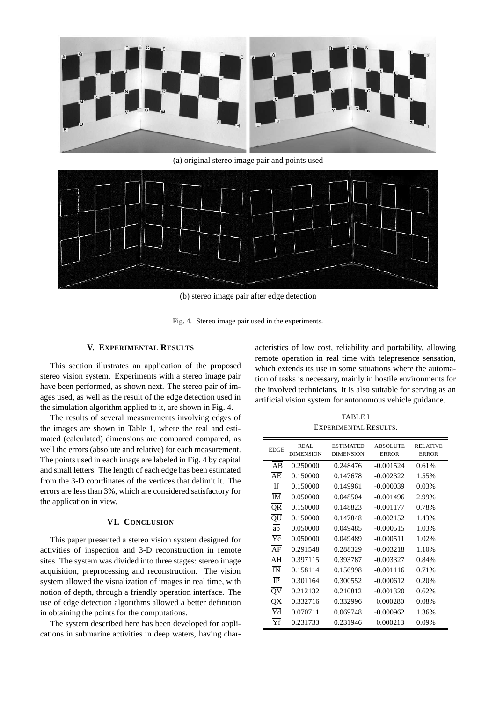

(a) original stereo image pair and points used



(b) stereo image pair after edge detection

Fig. 4. Stereo image pair used in the experiments.

# **V. EXPERIMENTAL RESULTS**

This section illustrates an application of the proposed stereo vision system. Experiments with a stereo image pair have been performed, as shown next. The stereo pair of images used, as well as the result of the edge detection used in the simulation algorithm applied to it, are shown in Fig. 4.

The results of several measurements involving edges of the images are shown in Table 1, where the real and estimated (calculated) dimensions are compared compared, as well the errors (absolute and relative) for each measurement. The points used in each image are labeled in Fig. 4 by capital and small letters. The length of each edge has been estimated from the 3-D coordinates of the vertices that delimit it. The errors are less than 3%, which are considered satisfactory for the application in view.

# **VI. CONCLUSION**

This paper presented a stereo vision system designed for activities of inspection and 3-D reconstruction in remote sites. The system was divided into three stages: stereo image acquisition, preprocessing and reconstruction. The vision system allowed the visualization of images in real time, with notion of depth, through a friendly operation interface. The use of edge detection algorithms allowed a better definition in obtaining the points for the computations.

The system described here has been developed for applications in submarine activities in deep waters, having characteristics of low cost, reliability and portability, allowing remote operation in real time with telepresence sensation, which extends its use in some situations where the automation of tasks is necessary, mainly in hostile environments for the involved technicians. It is also suitable for serving as an artificial vision system for autonomous vehicle guidance.

TABLE I EXPERIMENTAL RESULTS.

| <b>EDGE</b>                       | REAL<br><b>DIMENSION</b> | <b>ESTIMATED</b><br><b>DIMENSION</b> | <b>ABSOLUTE</b><br><b>ERROR</b> | <b>RELATIVE</b><br><b>ERROR</b> |
|-----------------------------------|--------------------------|--------------------------------------|---------------------------------|---------------------------------|
| AB                                | 0.250000                 | 0.248476                             | $-0.001524$                     | 0.61%                           |
| A <sub>E</sub>                    | 0.150000                 | 0.147678                             | $-0.002322$                     | 1.55%                           |
| $\mathbf{I}$                      | 0.150000                 | 0.149961                             | $-0.000039$                     | 0.03%                           |
| $\overline{\mathbf{M}}$           | 0.050000                 | 0.048504                             | $-0.001496$                     | 2.99%                           |
| $\overline{\text{QR}}$            | 0.150000                 | 0.148823                             | $-0.001177$                     | 0.78%                           |
| QU                                | 0.150000                 | 0.147848                             | $-0.002152$                     | 1.43%                           |
| $\overline{ab}$                   | 0.050000                 | 0.049485                             | $-0.000515$                     | 1.03%                           |
| $Y_C$                             | 0.050000                 | 0.049489                             | $-0.000511$                     | 1.02%                           |
| $\overline{AF}$                   | 0.291548                 | 0.288329                             | $-0.003218$                     | 1.10%                           |
| $\overline{AH}$                   | 0.397115                 | 0.393787                             | $-0.003327$                     | 0.84%                           |
| $\overline{\rm I}{\rm N}$         | 0.158114                 | 0.156998                             | $-0.001116$                     | 0.71%                           |
| $\overline{IP}$                   | 0.301164                 | 0.300552                             | $-0.000612$                     | 0.20%                           |
| $\overline{\text{ov}}$            | 0.212132                 | 0.210812                             | $-0.001320$                     | 0.62%                           |
| $\overline{QX}$                   | 0.332716                 | 0.332996                             | 0.000280                        | 0.08%                           |
| $\overline{\text{Yd}}$            | 0.070711                 | 0.069748                             | $-0.000962$                     | 1.36%                           |
| $\overline{\mathsf{Y}\mathsf{f}}$ | 0.231733                 | 0.231946                             | 0.000213                        | 0.09%                           |